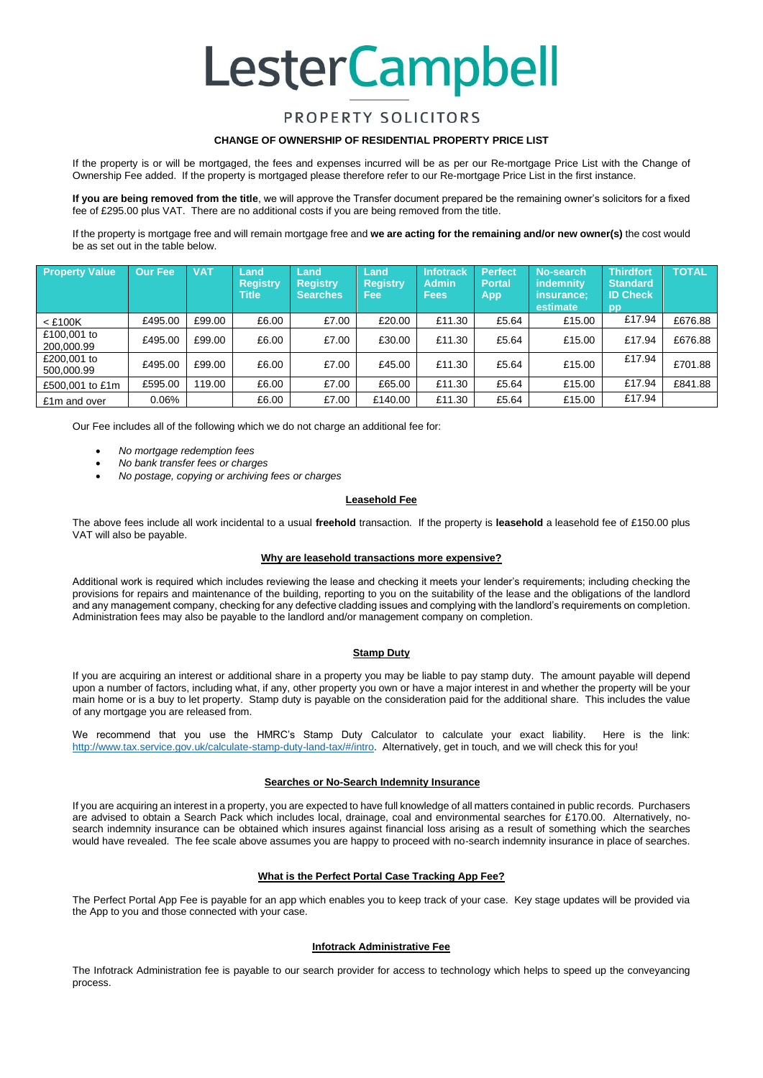# **LesterCampbell**

## PROPERTY SOLICITORS

#### **CHANGE OF OWNERSHIP OF RESIDENTIAL PROPERTY PRICE LIST**

If the property is or will be mortgaged, the fees and expenses incurred will be as per our Re-mortgage Price List with the Change of Ownership Fee added. If the property is mortgaged please therefore refer to our Re-mortgage Price List in the first instance.

**If you are being removed from the title**, we will approve the Transfer document prepared be the remaining owner's solicitors for a fixed fee of £295.00 plus VAT. There are no additional costs if you are being removed from the title.

If the property is mortgage free and will remain mortgage free and **we are acting for the remaining and/or new owner(s)** the cost would be as set out in the table below.

| <b>Property Value</b>     | Our Fee  | <b>VAT</b> | Land<br><b>Registry</b><br><b>Title</b> | Land<br><b>Registry</b><br><b>Searches</b> | Land<br><b>Registry</b><br><b>Fee</b> | <b>Infotrack</b><br><b>Admin</b><br><b>Fees</b> | <b>Perfect</b><br><b>Portal</b><br><b>App</b> | No-search<br>indemnity<br>insurance:<br>estimate | <b>Thirdfort</b><br><b>Standard</b><br><b>ID Check</b><br>pp | <b>TOTAL</b> |
|---------------------------|----------|------------|-----------------------------------------|--------------------------------------------|---------------------------------------|-------------------------------------------------|-----------------------------------------------|--------------------------------------------------|--------------------------------------------------------------|--------------|
| $<$ £100K                 | £495.00  | £99.00     | £6.00                                   | £7.00                                      | £20.00                                | £11.30                                          | £5.64                                         | £15.00                                           | £17.94                                                       | £676.88      |
| £100,001 to<br>200,000.99 | £495.00  | £99.00     | £6.00                                   | £7.00                                      | £30.00                                | £11.30                                          | £5.64                                         | £15.00                                           | £17.94                                                       | £676.88      |
| £200,001 to<br>500,000.99 | £495.00  | £99.00     | £6.00                                   | £7.00                                      | £45.00                                | £11.30                                          | £5.64                                         | £15.00                                           | £17.94                                                       | £701.88      |
| £500,001 to £1m           | £595.00  | 119.00     | £6.00                                   | £7.00                                      | £65.00                                | £11.30                                          | £5.64                                         | £15.00                                           | £17.94                                                       | £841.88      |
| £1m and over              | $0.06\%$ |            | £6.00                                   | £7.00                                      | £140.00                               | £11.30                                          | £5.64                                         | £15.00                                           | £17.94                                                       |              |

Our Fee includes all of the following which we do not charge an additional fee for:

- *No mortgage redemption fees*
- *No bank transfer fees or charges*
- *No postage, copying or archiving fees or charges*

### **Leasehold Fee**

The above fees include all work incidental to a usual **freehold** transaction. If the property is **leasehold** a leasehold fee of £150.00 plus VAT will also be payable.

#### **Why are leasehold transactions more expensive?**

Additional work is required which includes reviewing the lease and checking it meets your lender's requirements; including checking the provisions for repairs and maintenance of the building, reporting to you on the suitability of the lease and the obligations of the landlord and any management company, checking for any defective cladding issues and complying with the landlord's requirements on completion. Administration fees may also be payable to the landlord and/or management company on completion.

#### **Stamp Duty**

If you are acquiring an interest or additional share in a property you may be liable to pay stamp duty. The amount payable will depend upon a number of factors, including what, if any, other property you own or have a major interest in and whether the property will be your main home or is a buy to let property. Stamp duty is payable on the consideration paid for the additional share. This includes the value of any mortgage you are released from.

We recommend that you use the HMRC's Stamp Duty Calculator to calculate your exact liability. Here is the link: [http://www.tax.service.gov.uk/calculate-stamp-duty-land-tax/#/intro.](http://www.tax.service.gov.uk/calculate-stamp-duty-land-tax/#/intro) Alternatively, get in touch, and we will check this for you!

#### **Searches or No-Search Indemnity Insurance**

If you are acquiring an interest in a property, you are expected to have full knowledge of all matters contained in public records. Purchasers are advised to obtain a Search Pack which includes local, drainage, coal and environmental searches for £170.00. Alternatively, nosearch indemnity insurance can be obtained which insures against financial loss arising as a result of something which the searches would have revealed. The fee scale above assumes you are happy to proceed with no-search indemnity insurance in place of searches.

#### **What is the Perfect Portal Case Tracking App Fee?**

The Perfect Portal App Fee is payable for an app which enables you to keep track of your case. Key stage updates will be provided via the App to you and those connected with your case.

#### **Infotrack Administrative Fee**

The Infotrack Administration fee is payable to our search provider for access to technology which helps to speed up the conveyancing process.